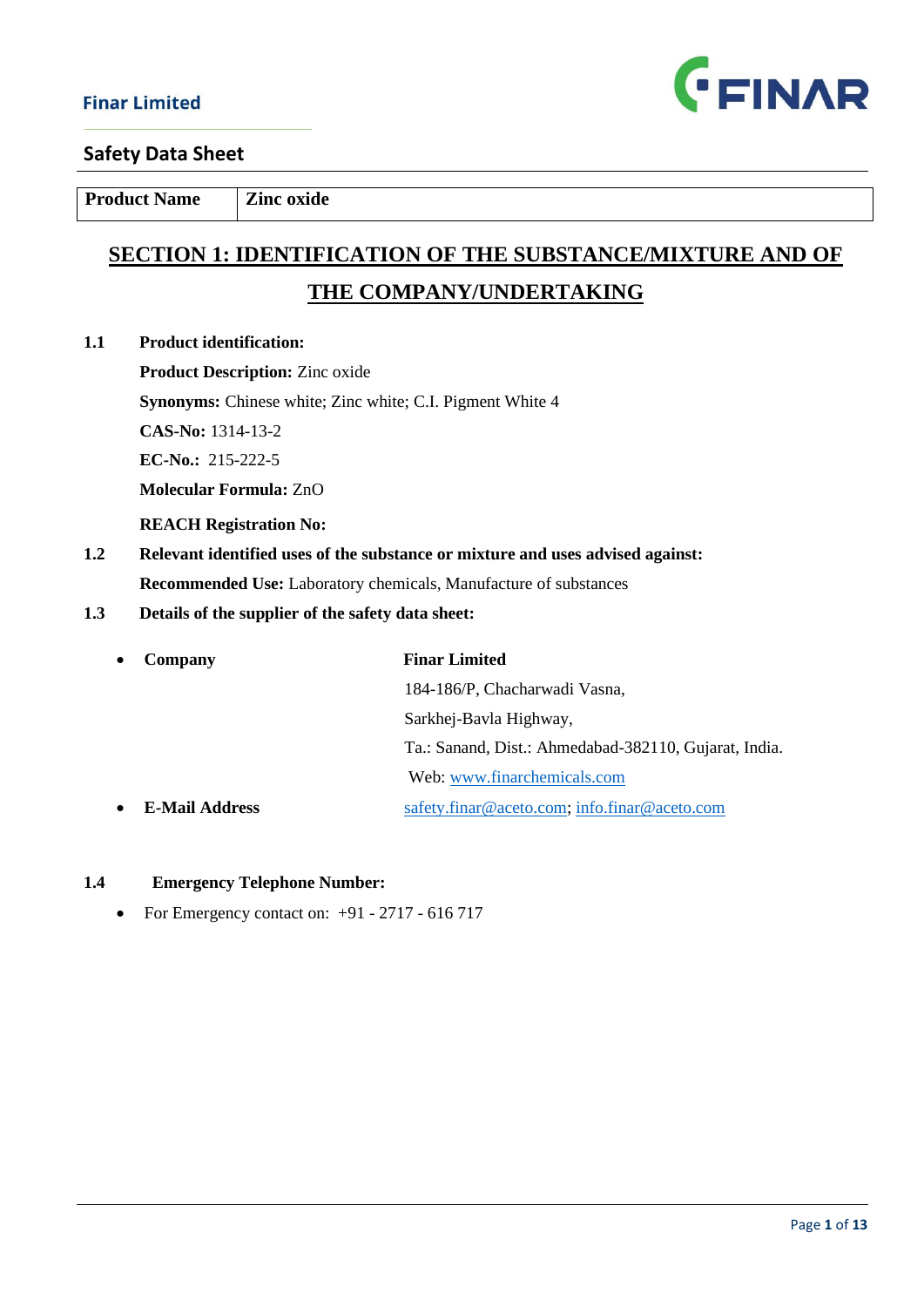

**Product Name Zinc oxide** 

# **SECTION 1: IDENTIFICATION OF THE SUBSTANCE/MIXTURE AND OF THE COMPANY/UNDERTAKING**

**1.1 Product identification:** 

**Product Description:** Zinc oxide **Synonyms:** Chinese white; Zinc white; C.I. Pigment White 4 **CAS-No:** 1314-13-2 **EC-No.:** 215-222-5 **Molecular Formula:** ZnO  **REACH Registration No:**

- **1.2 Relevant identified uses of the substance or mixture and uses advised against: Recommended Use:** Laboratory chemicals, Manufacture of substances
- **1.3 Details of the supplier of the safety data sheet:**

| Company               | <b>Finar Limited</b>                                  |
|-----------------------|-------------------------------------------------------|
|                       | 184-186/P, Chacharwadi Vasna,                         |
|                       | Sarkhej-Bavla Highway,                                |
|                       | Ta.: Sanand, Dist.: Ahmedabad-382110, Gujarat, India. |
|                       | Web: www.finarchemicals.com                           |
| <b>E-Mail Address</b> | safety.finar@aceto.com; info.finar@aceto.com          |

#### **1.4 Emergency Telephone Number:**

• For Emergency contact on:  $+91 - 2717 - 616717$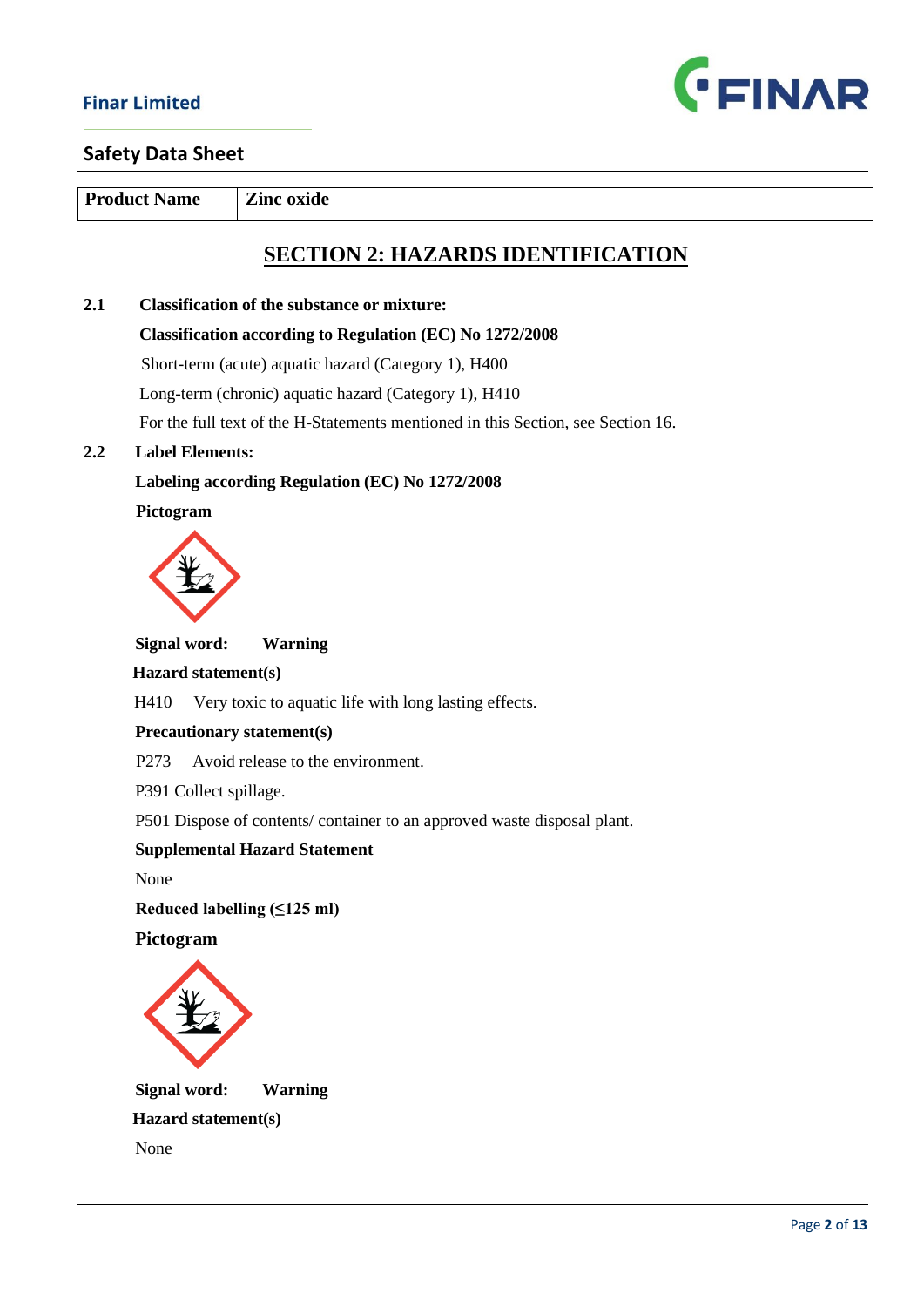

**Product Name Zinc oxide** 

# **SECTION 2: HAZARDS IDENTIFICATION**

# **2.1 Classification of the substance or mixture: Classification according to Regulation (EC) No 1272/2008** Short-term (acute) aquatic hazard (Category 1), H400 Long-term (chronic) aquatic hazard (Category 1), H410 For the full text of the H-Statements mentioned in this Section, see Section 16.

## **2.2 Label Elements:**

# **Labeling according Regulation (EC) No 1272/2008**

 **Pictogram**



 **Signal word: Warning**

#### **Hazard statement(s)**

H410 Very toxic to aquatic life with long lasting effects.

#### **Precautionary statement(s)**

P273 Avoid release to the environment.

P391 Collect spillage.

P501 Dispose of contents/ container to an approved waste disposal plant.

#### **Supplemental Hazard Statement**

None

 **Reduced labelling (≤125 ml)** 

 **Pictogram**



 **Signal word: Warning Hazard statement(s)** None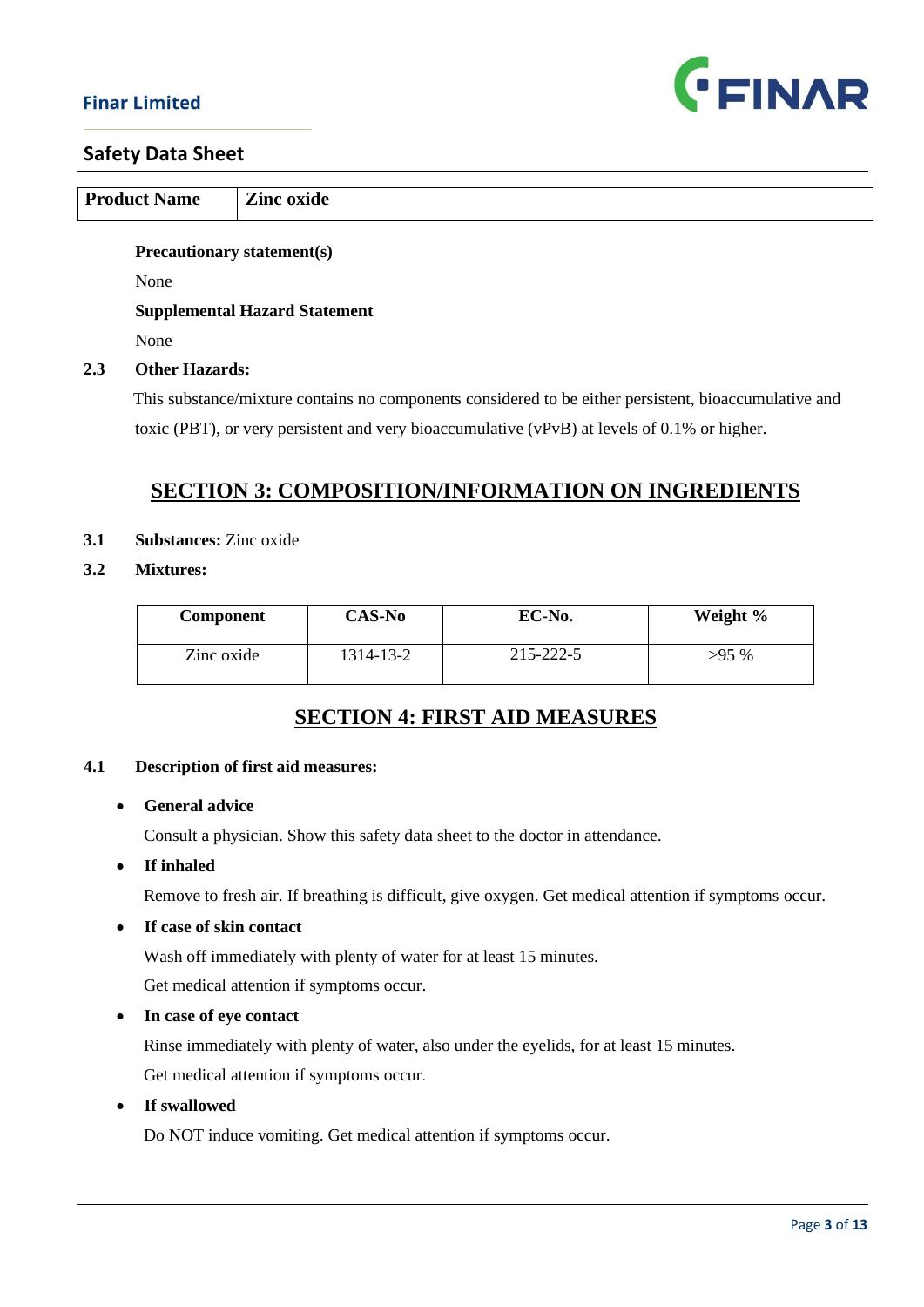

|     | <b>Product Name</b>               | <b>Zinc oxide</b>                    |
|-----|-----------------------------------|--------------------------------------|
|     |                                   |                                      |
|     | <b>Precautionary statement(s)</b> |                                      |
|     | None                              |                                      |
|     |                                   | <b>Supplemental Hazard Statement</b> |
|     | None                              |                                      |
| 2.3 | <b>Other Hazards:</b>             |                                      |

 This substance/mixture contains no components considered to be either persistent, bioaccumulative and toxic (PBT), or very persistent and very bioaccumulative (vPvB) at levels of 0.1% or higher.

# **SECTION 3: COMPOSITION/INFORMATION ON INGREDIENTS**

- **3.1 Substances:** Zinc oxide
- **3.2 Mixtures:**

| <b>Component</b> | CAS-No    | EC-No.    | Weight % |
|------------------|-----------|-----------|----------|
| Zinc oxide       | 1314-13-2 | 215-222-5 | $>95\%$  |

# **SECTION 4: FIRST AID MEASURES**

#### **4.1 Description of first aid measures:**

• **General advice**

Consult a physician. Show this safety data sheet to the doctor in attendance.

• **If inhaled**

Remove to fresh air. If breathing is difficult, give oxygen. Get medical attention if symptoms occur.

• **If case of skin contact**

Wash off immediately with plenty of water for at least 15 minutes.

Get medical attention if symptoms occur.

• **In case of eye contact**

 Rinse immediately with plenty of water, also under the eyelids, for at least 15 minutes. Get medical attention if symptoms occur.

• **If swallowed**

Do NOT induce vomiting. Get medical attention if symptoms occur.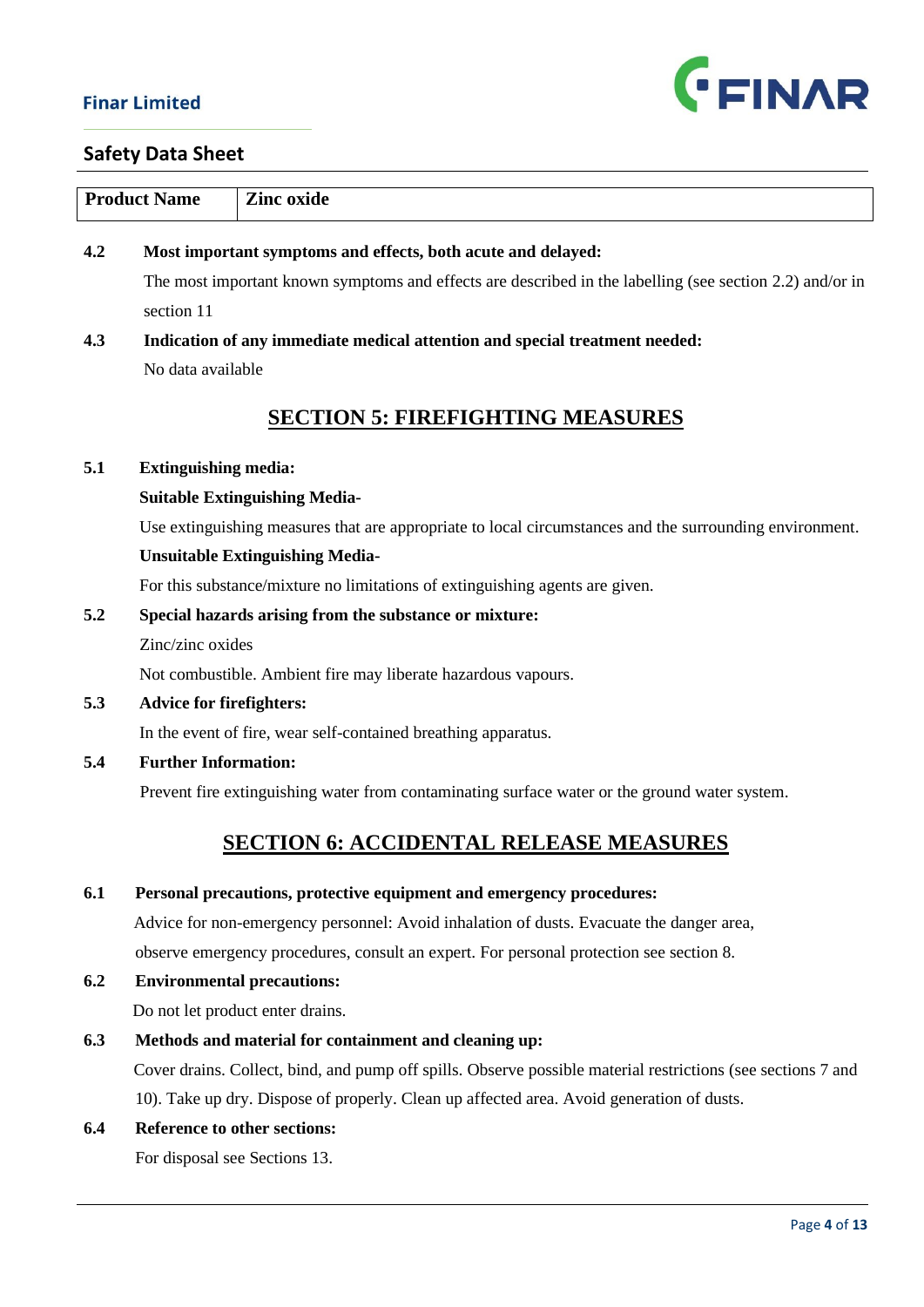

|     | <b>Product Name</b>             | <b>Zinc</b> oxide                                                                                            |
|-----|---------------------------------|--------------------------------------------------------------------------------------------------------------|
| 4.2 |                                 | Most important symptoms and effects, both acute and delayed:                                                 |
|     |                                 | The most important known symptoms and effects are described in the labelling (see section 2.2) and/or in     |
|     | section 11                      |                                                                                                              |
| 4.3 |                                 | Indication of any immediate medical attention and special treatment needed:                                  |
|     | No data available               |                                                                                                              |
|     |                                 | <b>SECTION 5: FIREFIGHTING MEASURES</b>                                                                      |
| 5.1 | <b>Extinguishing media:</b>     |                                                                                                              |
|     |                                 | <b>Suitable Extinguishing Media-</b>                                                                         |
|     |                                 | Use extinguishing measures that are appropriate to local circumstances and the surrounding environment.      |
|     |                                 | <b>Unsuitable Extinguishing Media-</b>                                                                       |
|     |                                 | For this substance/mixture no limitations of extinguishing agents are given.                                 |
| 5.2 |                                 | Special hazards arising from the substance or mixture:                                                       |
|     | Zinc/zinc oxides                |                                                                                                              |
|     |                                 | Not combustible. Ambient fire may liberate hazardous vapours.                                                |
| 5.3 | <b>Advice for firefighters:</b> |                                                                                                              |
|     |                                 | In the event of fire, wear self-contained breathing apparatus.                                               |
| 5.4 | <b>Further Information:</b>     |                                                                                                              |
|     |                                 | Prevent fire extinguishing water from contaminating surface water or the ground water system.                |
|     |                                 | <b>SECTION 6: ACCIDENTAL RELEASE MEASURES</b>                                                                |
| 6.1 |                                 | Personal precautions, protective equipment and emergency procedures:                                         |
|     |                                 | Advice for non-emergency personnel: Avoid inhalation of dusts. Evacuate the danger area,                     |
|     |                                 | observe emergency procedures, consult an expert. For personal protection see section 8.                      |
| 6.2 |                                 | <b>Environmental precautions:</b>                                                                            |
|     |                                 | Do not let product enter drains.                                                                             |
| 6.3 |                                 | Methods and material for containment and cleaning up:                                                        |
|     |                                 | Cover drains. Collect, bind, and pump off spills. Observe possible material restrictions (see sections 7 and |
|     |                                 | 10). Take up dry. Dispose of properly. Clean up affected area. Avoid generation of dusts.                    |
| 6.4 |                                 | Reference to other sections:                                                                                 |
|     |                                 | For disposal see Sections 13.                                                                                |
|     |                                 | $Diag \land \alpha f$ 13                                                                                     |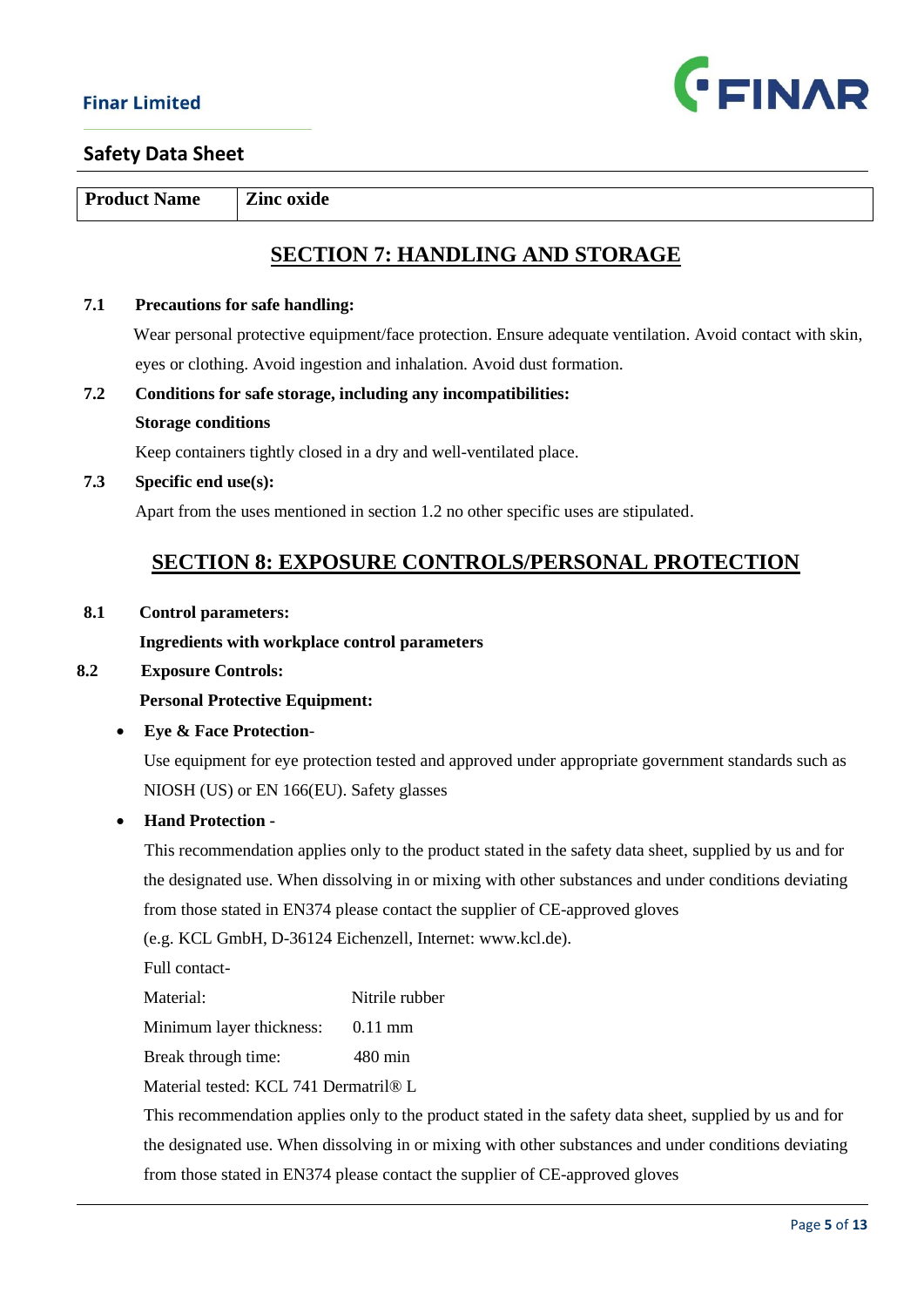

**Product Name Zinc oxide** 

# **SECTION 7: HANDLING AND STORAGE**

#### **7.1 Precautions for safe handling:**

Wear personal protective equipment/face protection. Ensure adequate ventilation. Avoid contact with skin, eyes or clothing. Avoid ingestion and inhalation. Avoid dust formation.

**7.2 Conditions for safe storage, including any incompatibilities: Storage conditions**

Keep containers tightly closed in a dry and well-ventilated place.

#### **7.3 Specific end use(s):**

Apart from the uses mentioned in section 1.2 no other specific uses are stipulated.

# **SECTION 8: EXPOSURE CONTROLS/PERSONAL PROTECTION**

#### **8.1 Control parameters:**

#### **Ingredients with workplace control parameters**

#### **8.2 Exposure Controls:**

#### **Personal Protective Equipment:**

#### • **Eye & Face Protection**-

 Use equipment for eye protection tested and approved under appropriate government standards such as NIOSH (US) or EN 166(EU). Safety glasses

### • **Hand Protection -**

 This recommendation applies only to the product stated in the safety data sheet, supplied by us and for the designated use. When dissolving in or mixing with other substances and under conditions deviating from those stated in EN374 please contact the supplier of CE-approved gloves

(e.g. KCL GmbH, D-36124 Eichenzell, Internet: www.kcl.de).

Full contact-

Material: Nitrile rubber

Minimum layer thickness: 0.11 mm

Break through time: 480 min

Material tested: KCL 741 Dermatril® L

 This recommendation applies only to the product stated in the safety data sheet, supplied by us and for the designated use. When dissolving in or mixing with other substances and under conditions deviating from those stated in EN374 please contact the supplier of CE-approved gloves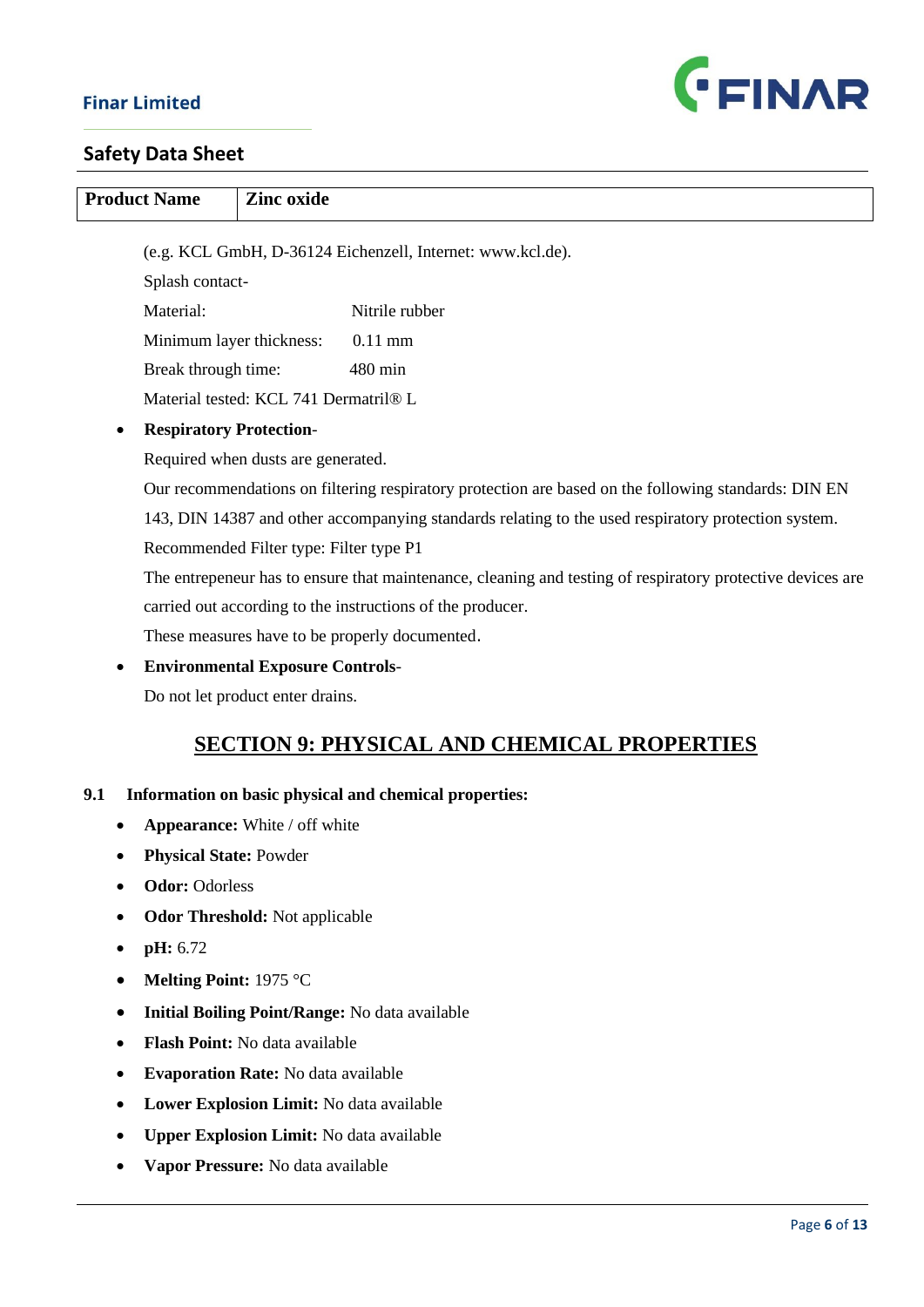

| <b>Product Name</b><br><b>Zinc oxide</b> |                                                            |                                         |                                                                                                            |  |  |
|------------------------------------------|------------------------------------------------------------|-----------------------------------------|------------------------------------------------------------------------------------------------------------|--|--|
|                                          |                                                            |                                         |                                                                                                            |  |  |
|                                          | (e.g. KCL GmbH, D-36124 Eichenzell, Internet: www.kcl.de). |                                         |                                                                                                            |  |  |
|                                          | Splash contact-<br>Material:                               |                                         | Nitrile rubber                                                                                             |  |  |
|                                          | Minimum layer thickness:                                   |                                         | $0.11$ mm                                                                                                  |  |  |
|                                          | Break through time:                                        |                                         | 480 min                                                                                                    |  |  |
|                                          |                                                            | Material tested: KCL 741 Dermatril® L   |                                                                                                            |  |  |
|                                          | <b>Respiratory Protection-</b>                             |                                         |                                                                                                            |  |  |
|                                          |                                                            | Required when dusts are generated.      |                                                                                                            |  |  |
|                                          |                                                            |                                         | Our recommendations on filtering respiratory protection are based on the following standards: DIN EN       |  |  |
|                                          |                                                            |                                         | 143, DIN 14387 and other accompanying standards relating to the used respiratory protection system.        |  |  |
|                                          |                                                            | Recommended Filter type: Filter type P1 |                                                                                                            |  |  |
|                                          |                                                            |                                         | The entrepeneur has to ensure that maintenance, cleaning and testing of respiratory protective devices are |  |  |
|                                          | carried out according to the instructions of the producer. |                                         |                                                                                                            |  |  |
|                                          |                                                            |                                         | These measures have to be properly documented.                                                             |  |  |
|                                          |                                                            | <b>Environmental Exposure Controls-</b> |                                                                                                            |  |  |
|                                          |                                                            | Do not let product enter drains.        |                                                                                                            |  |  |
|                                          |                                                            |                                         |                                                                                                            |  |  |
|                                          |                                                            |                                         | <b>SECTION 9: PHYSICAL AND CHEMICAL PROPERTIES</b>                                                         |  |  |
| 9.1                                      |                                                            |                                         | Information on basic physical and chemical properties:                                                     |  |  |
|                                          |                                                            | Appearance: White / off white           |                                                                                                            |  |  |
|                                          | <b>Physical State: Powder</b>                              |                                         |                                                                                                            |  |  |
|                                          | <b>Odor: Odorless</b>                                      |                                         |                                                                                                            |  |  |
|                                          | <b>Odor Threshold:</b> Not applicable                      |                                         |                                                                                                            |  |  |
|                                          | pH: 6.72                                                   |                                         |                                                                                                            |  |  |
|                                          | Melting Point: 1975 °C                                     |                                         |                                                                                                            |  |  |
|                                          |                                                            |                                         | <b>Initial Boiling Point/Range: No data available</b>                                                      |  |  |
|                                          |                                                            | Flash Point: No data available          |                                                                                                            |  |  |
|                                          |                                                            | Evaporation Rate: No data available     |                                                                                                            |  |  |

- **Lower Explosion Limit:** No data available
- **Upper Explosion Limit:** No data available
- **Vapor Pressure:** No data available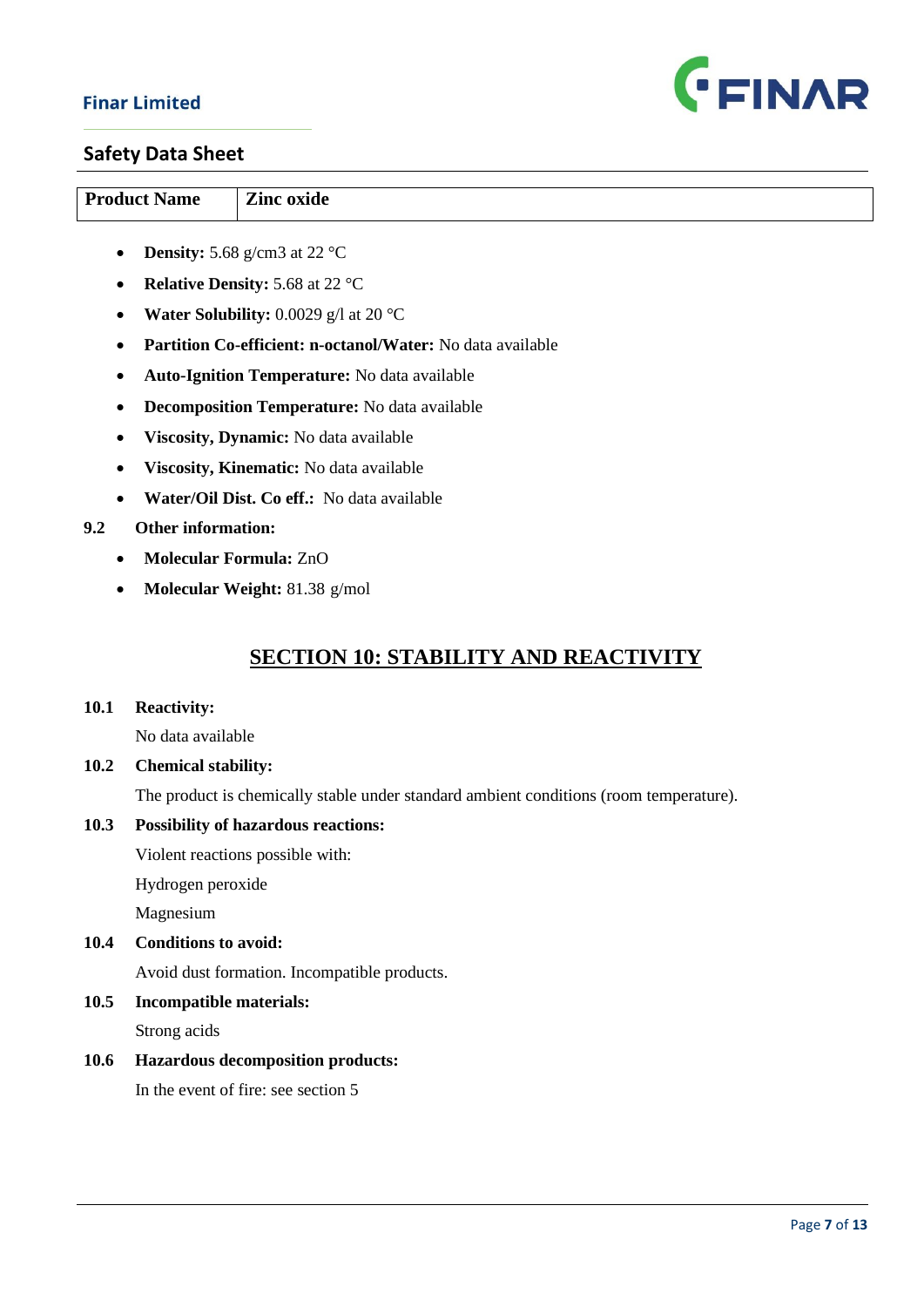

### **Safety Data Sheet**

| <b>Product Name</b> | Zinc oxide                                    |
|---------------------|-----------------------------------------------|
| $\bullet$           | <b>Density:</b> 5.68 g/cm3 at 22 $^{\circ}$ C |

- **Relative Density:** 5.68 at 22 °C
- **Water Solubility:** 0.0029 g/l at 20 °C
- **Partition Co-efficient: n-octanol/Water:** No data available
- **Auto-Ignition Temperature:** No data available
- **Decomposition Temperature:** No data available
- **Viscosity, Dynamic:** No data available
- **Viscosity, Kinematic:** No data available
- **Water/Oil Dist. Co eff.:** No data available

#### **9.2 Other information:**

- **Molecular Formula:** ZnO
- **Molecular Weight:** 81.38 g/mol

# **SECTION 10: STABILITY AND REACTIVITY**

#### **10.1 Reactivity:**

No data available

**10.2 Chemical stability:** 

The product is chemically stable under standard ambient conditions (room temperature).

#### **10.3 Possibility of hazardous reactions:**

Violent reactions possible with:

Hydrogen peroxide

Magnesium

#### **10.4 Conditions to avoid:**

Avoid dust formation. Incompatible products.

#### **10.5 Incompatible materials:**

Strong acids

#### **10.6 Hazardous decomposition products:**

In the event of fire: see section 5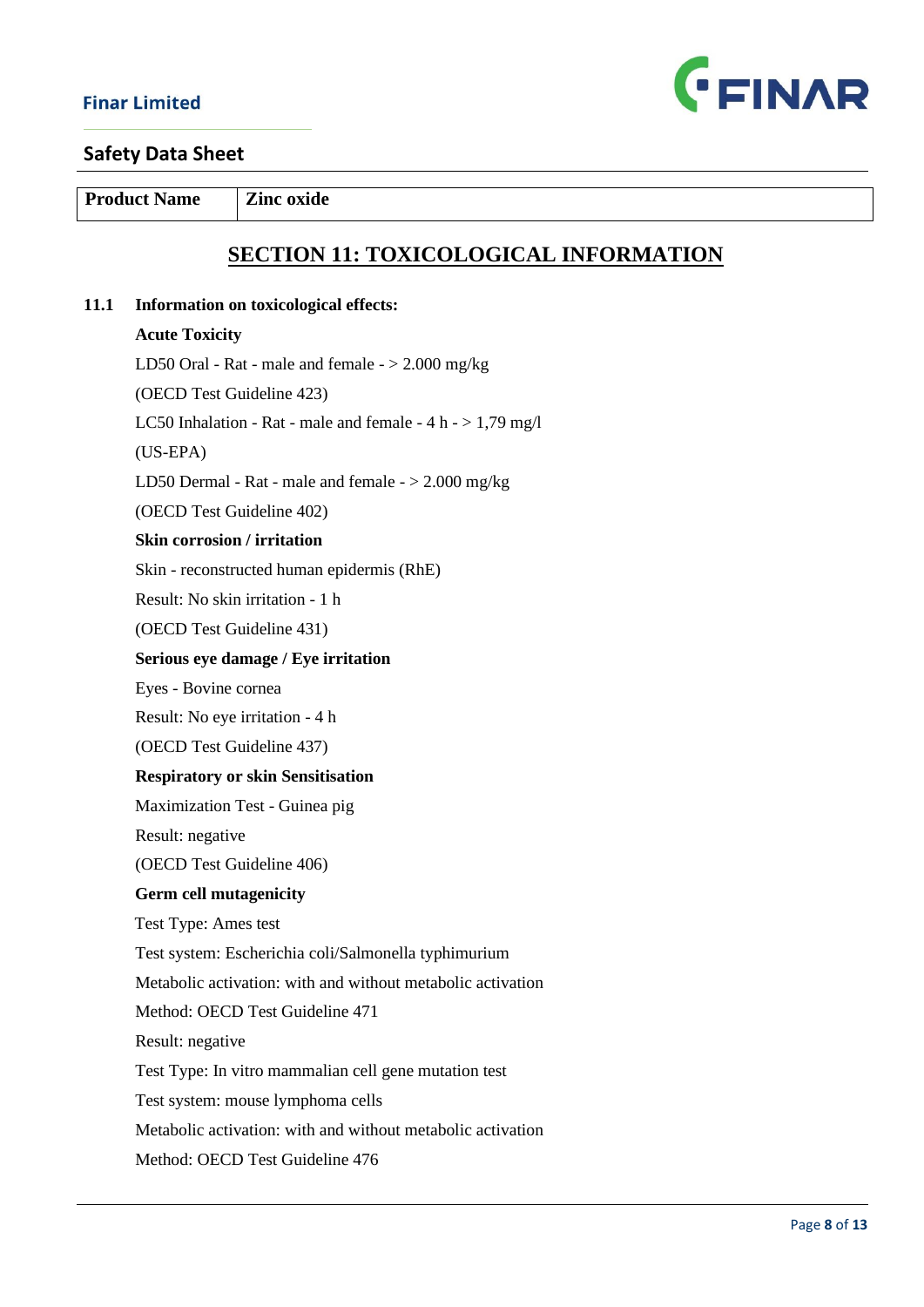

**Product Name Zinc oxide** 

# **SECTION 11: TOXICOLOGICAL INFORMATION**

#### **11.1 Information on toxicological effects:**

#### **Acute Toxicity**

LD50 Oral - Rat - male and female  $-$  > 2.000 mg/kg

(OECD Test Guideline 423)

LC50 Inhalation - Rat - male and female -  $4 h - 1.79 mg/l$ 

(US-EPA)

LD50 Dermal - Rat - male and female - > 2.000 mg/kg

(OECD Test Guideline 402)

#### **Skin corrosion / irritation**

Skin - reconstructed human epidermis (RhE)

Result: No skin irritation - 1 h

(OECD Test Guideline 431)

#### **Serious eye damage / Eye irritation**

Eyes - Bovine cornea

Result: No eye irritation - 4 h

(OECD Test Guideline 437)

#### **Respiratory or skin Sensitisation**

Maximization Test - Guinea pig

Result: negative

(OECD Test Guideline 406)

#### **Germ cell mutagenicity**

Test Type: Ames test

Test system: Escherichia coli/Salmonella typhimurium

Metabolic activation: with and without metabolic activation

Method: OECD Test Guideline 471

Result: negative

Test Type: In vitro mammalian cell gene mutation test

Test system: mouse lymphoma cells

Metabolic activation: with and without metabolic activation

Method: OECD Test Guideline 476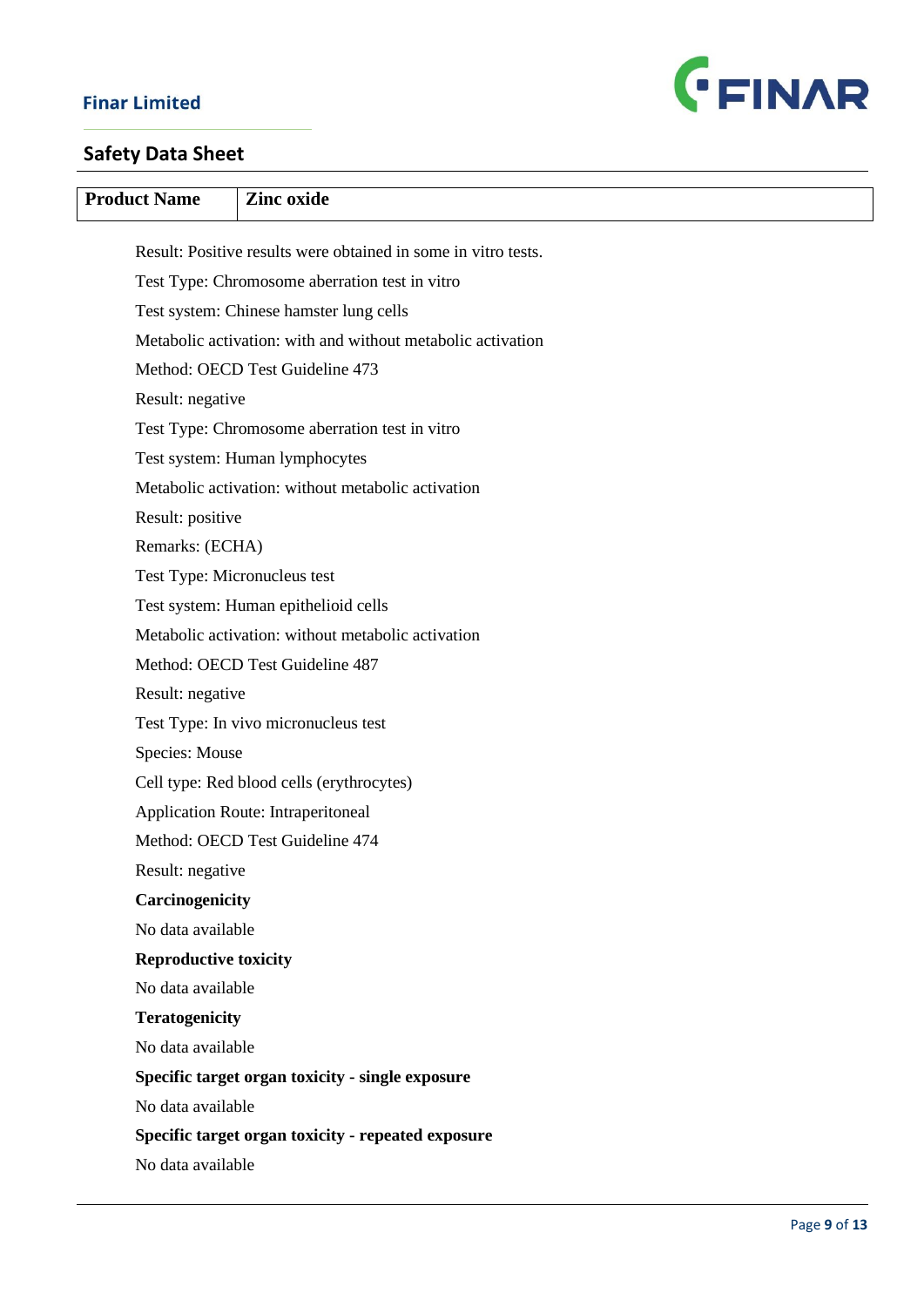

| <b>Product Name</b>          | <b>Zinc</b> oxide                                              |
|------------------------------|----------------------------------------------------------------|
|                              | Result: Positive results were obtained in some in vitro tests. |
|                              | Test Type: Chromosome aberration test in vitro                 |
|                              | Test system: Chinese hamster lung cells                        |
|                              | Metabolic activation: with and without metabolic activation    |
|                              | Method: OECD Test Guideline 473                                |
| Result: negative             |                                                                |
|                              | Test Type: Chromosome aberration test in vitro                 |
|                              | Test system: Human lymphocytes                                 |
|                              | Metabolic activation: without metabolic activation             |
| Result: positive             |                                                                |
| Remarks: (ECHA)              |                                                                |
| Test Type: Micronucleus test |                                                                |
|                              | Test system: Human epithelioid cells                           |
|                              | Metabolic activation: without metabolic activation             |
|                              | Method: OECD Test Guideline 487                                |
| Result: negative             |                                                                |
|                              | Test Type: In vivo micronucleus test                           |
| Species: Mouse               |                                                                |
|                              | Cell type: Red blood cells (erythrocytes)                      |
|                              | <b>Application Route: Intraperitoneal</b>                      |
|                              | Method: OECD Test Guideline 474                                |
| Result: negative             |                                                                |
| Carcinogenicity              |                                                                |
| No data available            |                                                                |
| <b>Reproductive toxicity</b> |                                                                |
| No data available            |                                                                |
| <b>Teratogenicity</b>        |                                                                |
| No data available            |                                                                |
|                              | Specific target organ toxicity - single exposure               |
| No data available            |                                                                |
|                              | Specific target organ toxicity - repeated exposure             |
| No data available            |                                                                |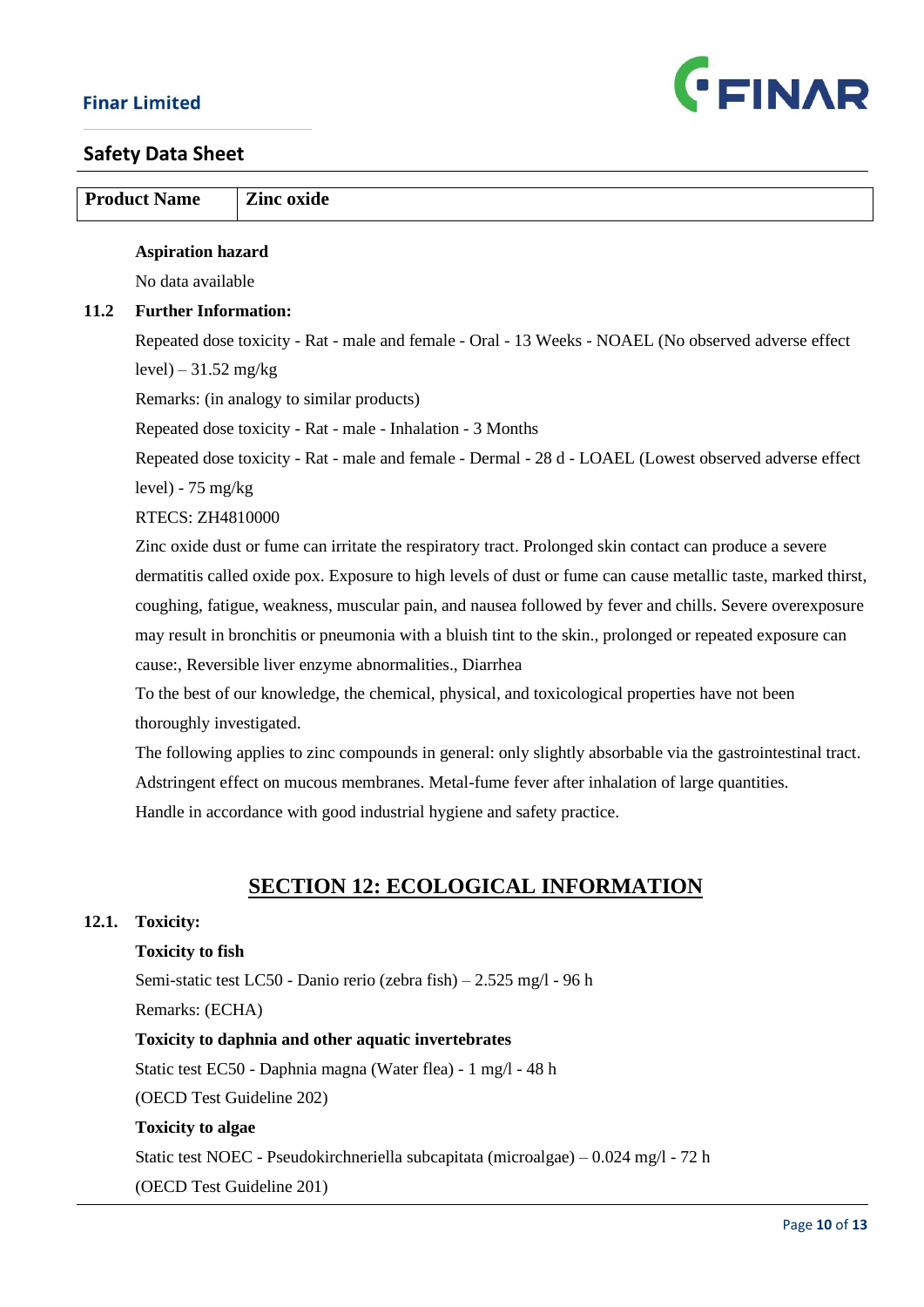

| <b>Product Name</b><br><b>Zinc oxide</b>                                                                  |                                                     |                                                                                                               |
|-----------------------------------------------------------------------------------------------------------|-----------------------------------------------------|---------------------------------------------------------------------------------------------------------------|
|                                                                                                           |                                                     |                                                                                                               |
|                                                                                                           | <b>Aspiration hazard</b>                            |                                                                                                               |
|                                                                                                           | No data available                                   |                                                                                                               |
| 11.2                                                                                                      | <b>Further Information:</b>                         |                                                                                                               |
|                                                                                                           |                                                     | Repeated dose toxicity - Rat - male and female - Oral - 13 Weeks - NOAEL (No observed adverse effect          |
|                                                                                                           | $level$ ) – 31.52 mg/kg                             |                                                                                                               |
|                                                                                                           |                                                     | Remarks: (in analogy to similar products)                                                                     |
|                                                                                                           |                                                     | Repeated dose toxicity - Rat - male - Inhalation - 3 Months                                                   |
|                                                                                                           |                                                     | Repeated dose toxicity - Rat - male and female - Dermal - 28 d - LOAEL (Lowest observed adverse effect        |
|                                                                                                           | $level$ ) - 75 mg/kg                                |                                                                                                               |
|                                                                                                           | <b>RTECS: ZH4810000</b>                             |                                                                                                               |
|                                                                                                           |                                                     | Zinc oxide dust or fume can irritate the respiratory tract. Prolonged skin contact can produce a severe       |
|                                                                                                           |                                                     | dermatitis called oxide pox. Exposure to high levels of dust or fume can cause metallic taste, marked thirst, |
|                                                                                                           |                                                     | coughing, fatigue, weakness, muscular pain, and nausea followed by fever and chills. Severe overexposure      |
| may result in bronchitis or pneumonia with a bluish tint to the skin., prolonged or repeated exposure can |                                                     |                                                                                                               |
| cause:, Reversible liver enzyme abnormalities., Diarrhea                                                  |                                                     |                                                                                                               |
|                                                                                                           |                                                     | To the best of our knowledge, the chemical, physical, and toxicological properties have not been              |
|                                                                                                           | thoroughly investigated.                            |                                                                                                               |
|                                                                                                           |                                                     | The following applies to zinc compounds in general: only slightly absorbable via the gastrointestinal tract.  |
|                                                                                                           |                                                     | Adstringent effect on mucous membranes. Metal-fume fever after inhalation of large quantities.                |
|                                                                                                           |                                                     | Handle in accordance with good industrial hygiene and safety practice.                                        |
|                                                                                                           |                                                     |                                                                                                               |
|                                                                                                           |                                                     |                                                                                                               |
|                                                                                                           |                                                     | <b>SECTION 12: ECOLOGICAL INFORMATION</b>                                                                     |
| 12.1.                                                                                                     | <b>Toxicity:</b>                                    |                                                                                                               |
|                                                                                                           | <b>Toxicity to fish</b>                             |                                                                                                               |
|                                                                                                           |                                                     | Semi-static test LC50 - Danio rerio (zebra fish) - 2.525 mg/l - 96 h                                          |
|                                                                                                           | Remarks: (ECHA)                                     |                                                                                                               |
|                                                                                                           | Toxicity to daphnia and other aquatic invertebrates |                                                                                                               |

Static test EC50 - Daphnia magna (Water flea) - 1 mg/l - 48 h

(OECD Test Guideline 202)

## **Toxicity to algae**

Static test NOEC - Pseudokirchneriella subcapitata (microalgae) – 0.024 mg/l - 72 h

(OECD Test Guideline 201)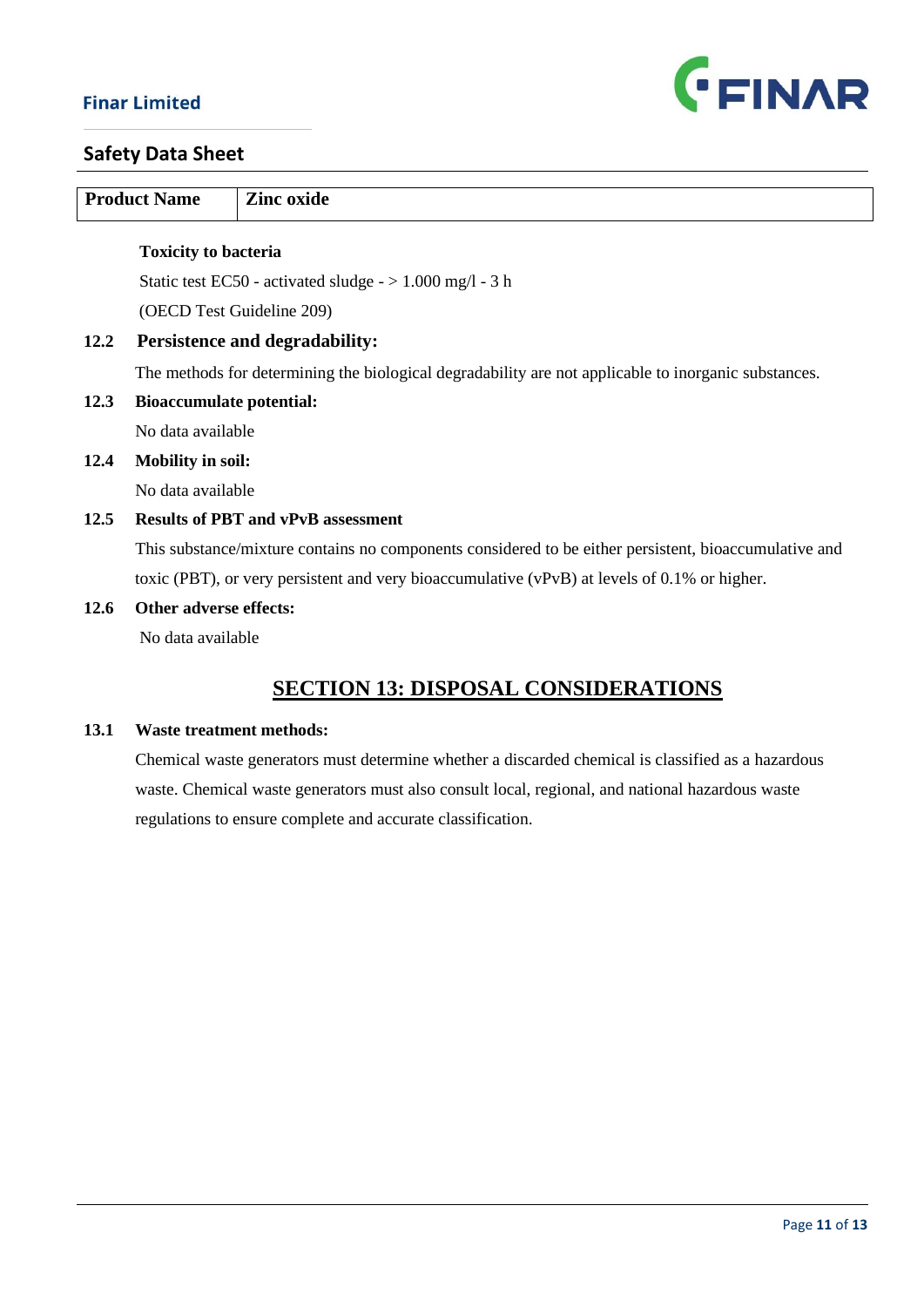

| <b>Product Name</b> |                                           | Zinc oxide                                                                                            |
|---------------------|-------------------------------------------|-------------------------------------------------------------------------------------------------------|
|                     | <b>Toxicity to bacteria</b>               |                                                                                                       |
|                     |                                           | Static test EC50 - activated sludge $-$ > 1.000 mg/l - 3 h                                            |
|                     |                                           | (OECD Test Guideline 209)                                                                             |
| 12.2                | <b>Persistence and degradability:</b>     |                                                                                                       |
|                     |                                           | The methods for determining the biological degradability are not applicable to inorganic substances.  |
| 12.3                | <b>Bioaccumulate potential:</b>           |                                                                                                       |
|                     | No data available                         |                                                                                                       |
| 12.4                | <b>Mobility in soil:</b>                  |                                                                                                       |
|                     | No data available                         |                                                                                                       |
| 12.5                | <b>Results of PBT and vPvB assessment</b> |                                                                                                       |
|                     |                                           | This substance/mixture contains no components considered to be either persistent, bioaccumulative and |
|                     |                                           | toxic (PBT), or very persistent and very bioaccumulative (vPvB) at levels of 0.1% or higher.          |
| 12.6                | Other adverse effects:                    |                                                                                                       |
|                     | No data available                         |                                                                                                       |
|                     |                                           | <b>SECTION 13: DISPOSAL CONSIDERATIONS</b>                                                            |
|                     |                                           |                                                                                                       |
| 13.1                | <b>Waste treatment methods:</b>           |                                                                                                       |
|                     |                                           | Chemical waste generators must determine whether a discarded chemical is classified as a hazardous    |
|                     |                                           | waste. Chemical waste generators must also consult local, regional, and national hazardous waste      |
|                     |                                           | regulations to ensure complete and accurate classification.                                           |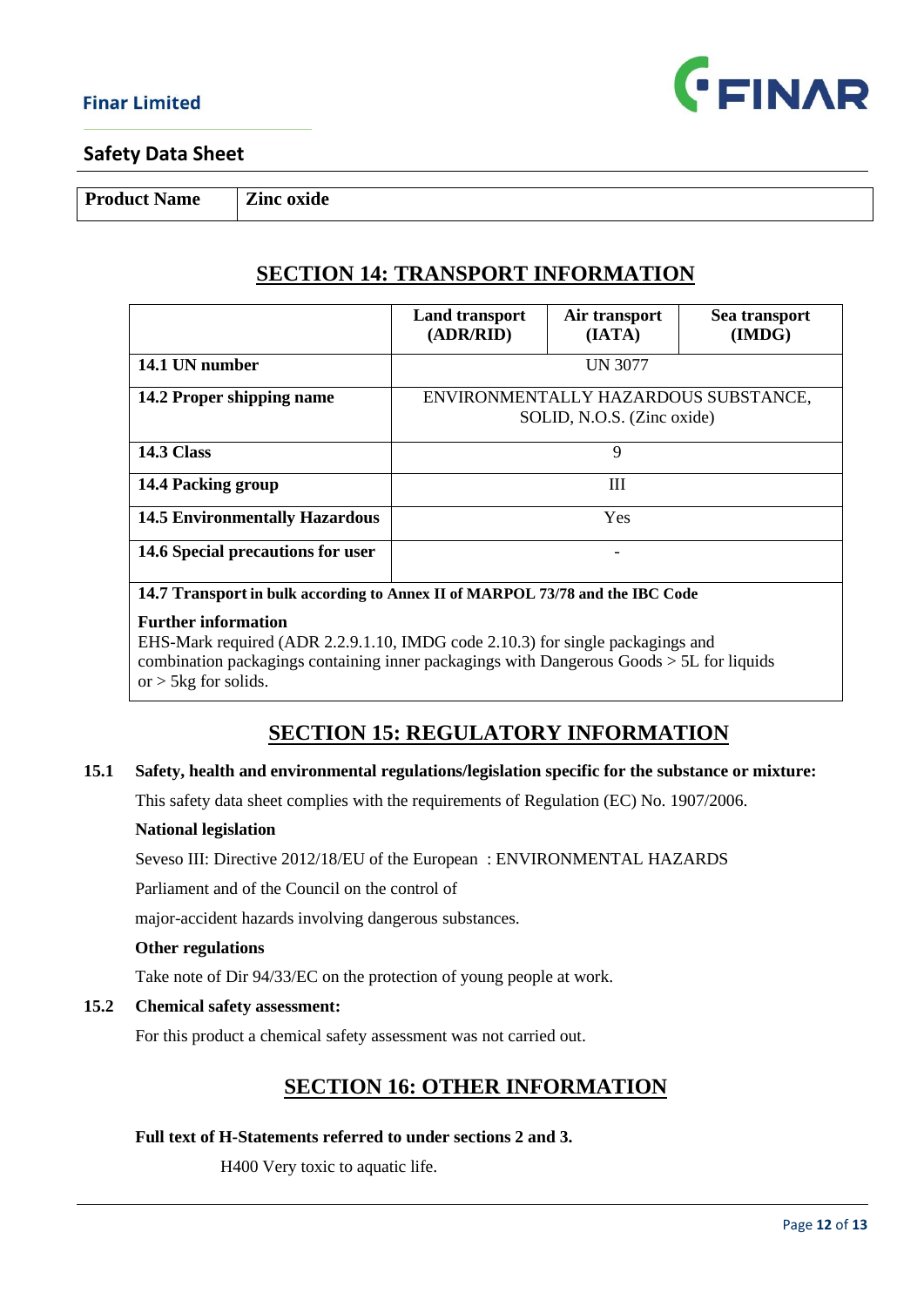

**Product Name Zinc oxide**

# **SECTION 14: TRANSPORT INFORMATION**

|                                       | <b>Land transport</b><br>(ADR/RID) | Air transport<br>(IATA)    | Sea transport<br>(IMDG)              |
|---------------------------------------|------------------------------------|----------------------------|--------------------------------------|
| 14.1 UN number                        |                                    | <b>UN 3077</b>             |                                      |
| 14.2 Proper shipping name             |                                    | SOLID, N.O.S. (Zinc oxide) | ENVIRONMENTALLY HAZARDOUS SUBSTANCE, |
| <b>14.3 Class</b>                     |                                    | 9                          |                                      |
| 14.4 Packing group                    |                                    | Ш                          |                                      |
| <b>14.5 Environmentally Hazardous</b> |                                    | Yes                        |                                      |
| 14.6 Special precautions for user     |                                    |                            |                                      |

**14.7 Transport in bulk according to Annex II of MARPOL 73/78 and the IBC Code**

#### **Further information**

EHS-Mark required (ADR 2.2.9.1.10, IMDG code 2.10.3) for single packagings and combination packagings containing inner packagings with Dangerous Goods > 5L for liquids or  $>$  5 kg for solids.

# **SECTION 15: REGULATORY INFORMATION**

#### **15.1 Safety, health and environmental regulations/legislation specific for the substance or mixture:**

This safety data sheet complies with the requirements of Regulation (EC) No. 1907/2006.

#### **National legislation**

Seveso III: Directive 2012/18/EU of the European : ENVIRONMENTAL HAZARDS

Parliament and of the Council on the control of

major-accident hazards involving dangerous substances.

#### **Other regulations**

Take note of Dir 94/33/EC on the protection of young people at work.

#### **15.2 Chemical safety assessment:**

For this product a chemical safety assessment was not carried out.

# **SECTION 16: OTHER INFORMATION**

#### **Full text of H-Statements referred to under sections 2 and 3.**

H400 Very toxic to aquatic life.